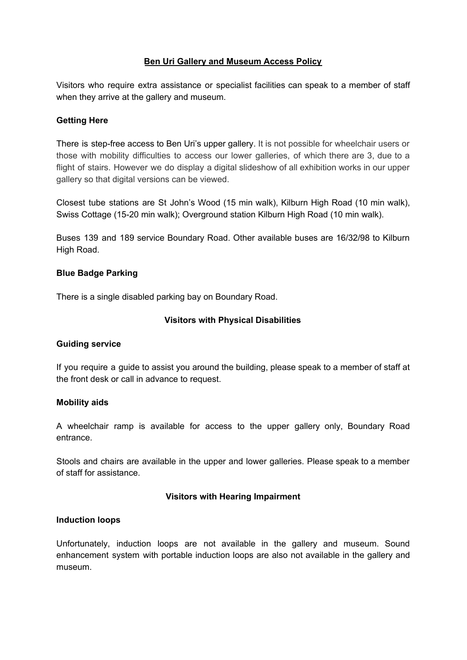# **Ben Uri Gallery and Museum Access Policy**

Visitors who require extra assistance or specialist facilities can speak to a member of staff when they arrive at the gallery and museum.

## **Getting Here**

There is step-free access to Ben Uri's upper gallery. It is not possible for wheelchair users or those with mobility difficulties to access our lower galleries, of which there are 3, due to a flight of stairs. However we do display a digital slideshow of all exhibition works in our upper gallery so that digital versions can be viewed.

Closest tube stations are St John's Wood (15 min walk), Kilburn High Road (10 min walk), Swiss Cottage (15-20 min walk); Overground station Kilburn High Road (10 min walk).

Buses 139 and 189 service Boundary Road. Other available buses are 16/32/98 to Kilburn High Road.

### **Blue Badge Parking**

There is a single disabled parking bay on Boundary Road.

# **Visitors with Physical Disabilities**

### **Guiding service**

If you require a guide to assist you around the building, please speak to a member of staff at the front desk or call in advance to request.

### **Mobility aids**

A wheelchair ramp is available for access to the upper gallery only, Boundary Road entrance.

Stools and chairs are available in the upper and lower galleries. Please speak to a member of staff for assistance.

### **Visitors with Hearing Impairment**

### **Induction loops**

Unfortunately, induction loops are not available in the gallery and museum. Sound enhancement system with portable induction loops are also not available in the gallery and museum.